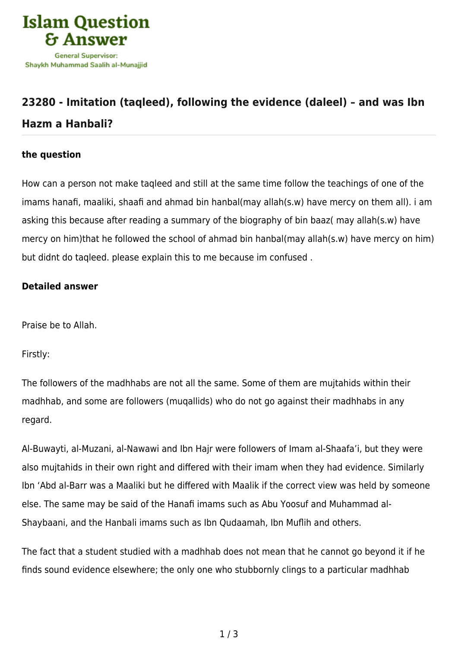

## **[23280 - Imitation \(taqleed\), following the evidence \(daleel\) – and was Ibn](https://islamqa.com/en/answers/23280/imitation-taqleed-following-the-evidence-daleel-and-was-ibn-hazm-a-hanbali) [Hazm a Hanbali?](https://islamqa.com/en/answers/23280/imitation-taqleed-following-the-evidence-daleel-and-was-ibn-hazm-a-hanbali)**

## **the question**

How can a person not make taqleed and still at the same time follow the teachings of one of the imams hanafi, maaliki, shaafi and ahmad bin hanbal(may allah(s.w) have mercy on them all). i am asking this because after reading a summary of the biography of bin baaz( may allah(s.w) have mercy on him)that he followed the school of ahmad bin hanbal(may allah(s.w) have mercy on him) but didnt do taqleed. please explain this to me because im confused .

## **Detailed answer**

Praise be to Allah.

Firstly:

The followers of the madhhabs are not all the same. Some of them are mujtahids within their madhhab, and some are followers (muqallids) who do not go against their madhhabs in any regard.

Al-Buwayti, al-Muzani, al-Nawawi and Ibn Hajr were followers of Imam al-Shaafa'i, but they were also mujtahids in their own right and differed with their imam when they had evidence. Similarly Ibn 'Abd al-Barr was a Maaliki but he differed with Maalik if the correct view was held by someone else. The same may be said of the Hanafi imams such as Abu Yoosuf and Muhammad al-Shaybaani, and the Hanbali imams such as Ibn Qudaamah, Ibn Muflih and others.

The fact that a student studied with a madhhab does not mean that he cannot go beyond it if he finds sound evidence elsewhere; the only one who stubbornly clings to a particular madhhab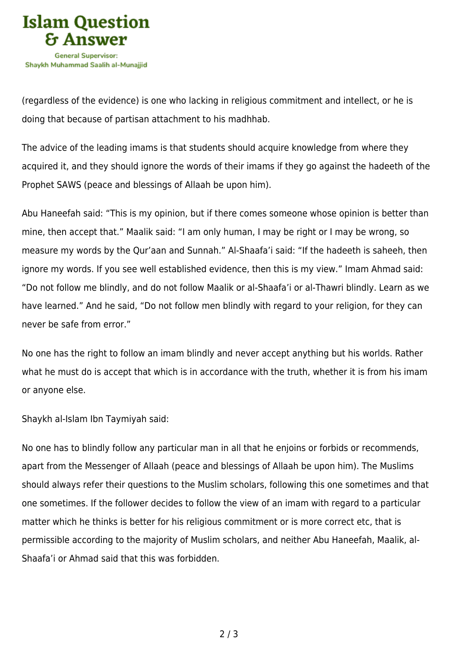

(regardless of the evidence) is one who lacking in religious commitment and intellect, or he is doing that because of partisan attachment to his madhhab.

The advice of the leading imams is that students should acquire knowledge from where they acquired it, and they should ignore the words of their imams if they go against the hadeeth of the Prophet SAWS (peace and blessings of Allaah be upon him).

Abu Haneefah said: "This is my opinion, but if there comes someone whose opinion is better than mine, then accept that." Maalik said: "I am only human, I may be right or I may be wrong, so measure my words by the Qur'aan and Sunnah." Al-Shaafa'i said: "If the hadeeth is saheeh, then ignore my words. If you see well established evidence, then this is my view." Imam Ahmad said: "Do not follow me blindly, and do not follow Maalik or al-Shaafa'i or al-Thawri blindly. Learn as we have learned." And he said, "Do not follow men blindly with regard to your religion, for they can never be safe from error."

No one has the right to follow an imam blindly and never accept anything but his worlds. Rather what he must do is accept that which is in accordance with the truth, whether it is from his imam or anyone else.

Shaykh al-Islam Ibn Taymiyah said:

No one has to blindly follow any particular man in all that he enjoins or forbids or recommends, apart from the Messenger of Allaah (peace and blessings of Allaah be upon him). The Muslims should always refer their questions to the Muslim scholars, following this one sometimes and that one sometimes. If the follower decides to follow the view of an imam with regard to a particular matter which he thinks is better for his religious commitment or is more correct etc, that is permissible according to the majority of Muslim scholars, and neither Abu Haneefah, Maalik, al-Shaafa'i or Ahmad said that this was forbidden.